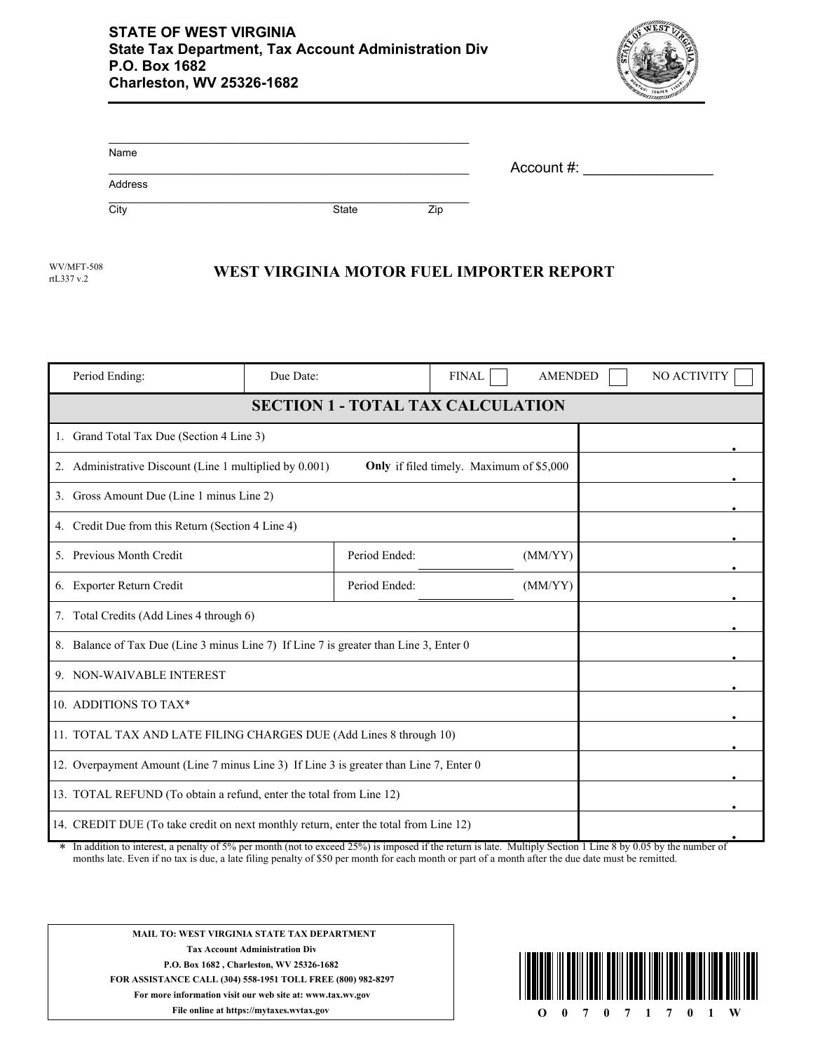

| Name    |       |     |            |  |
|---------|-------|-----|------------|--|
| Address |       |     | Account #: |  |
| City    | State | Zip |            |  |

rtL337 v.2

## WV/MFT-508 **WEST VIRGINIA MOTOR FUEL IMPORTER REPORT**

| Period Ending:                                                                                                                                                                                                                                                              | Due Date: |               | <b>FINAL</b> | <b>AMENDED</b> |        | NO ACTIVITY |
|-----------------------------------------------------------------------------------------------------------------------------------------------------------------------------------------------------------------------------------------------------------------------------|-----------|---------------|--------------|----------------|--------|-------------|
| <b>SECTION 1 - TOTAL TAX CALCULATION</b>                                                                                                                                                                                                                                    |           |               |              |                |        |             |
| 1. Grand Total Tax Due (Section 4 Line 3)                                                                                                                                                                                                                                   |           |               |              |                |        |             |
| 2. Administrative Discount (Line 1 multiplied by 0.001)<br>Only if filed timely. Maximum of \$5,000                                                                                                                                                                         |           |               |              |                |        |             |
| 3. Gross Amount Due (Line 1 minus Line 2)                                                                                                                                                                                                                                   |           |               |              |                |        |             |
| 4. Credit Due from this Return (Section 4 Line 4)                                                                                                                                                                                                                           |           |               |              |                |        |             |
| 5. Previous Month Credit                                                                                                                                                                                                                                                    |           | Period Ended: |              | (MM/YY)        |        |             |
| 6. Exporter Return Credit                                                                                                                                                                                                                                                   |           | Period Ended: |              | (MM/YY)        |        |             |
| 7. Total Credits (Add Lines 4 through 6)                                                                                                                                                                                                                                    |           |               |              |                |        |             |
| 8. Balance of Tax Due (Line 3 minus Line 7) If Line 7 is greater than Line 3, Enter 0                                                                                                                                                                                       |           |               |              |                |        |             |
| 9. NON-WAIVABLE INTEREST                                                                                                                                                                                                                                                    |           |               |              |                |        |             |
| 10. ADDITIONS TO TAX*                                                                                                                                                                                                                                                       |           |               |              |                |        |             |
| 11. TOTAL TAX AND LATE FILING CHARGES DUE (Add Lines 8 through 10)                                                                                                                                                                                                          |           |               |              |                |        |             |
| 12. Overpayment Amount (Line 7 minus Line 3) If Line 3 is greater than Line 7, Enter 0                                                                                                                                                                                      |           |               |              |                |        |             |
| 13. TOTAL REFUND (To obtain a refund, enter the total from Line 12)                                                                                                                                                                                                         |           |               |              |                |        |             |
| 14. CREDIT DUE (To take credit on next monthly return, enter the total from Line 12)<br>$-1.250/2$<br>8. The cold behavior for the color<br>$-14.7.561$<br>المتحدث المقاطعات كالقصام والمنادر<br>1.24.<br>$M_{\odot}$ 14 $\ddot{\circ}$ 1 $\ddot{\circ}$ 0 $\ddot{\circ}$ 4 |           |               |              |                | 0.0511 |             |

In addition to interest, a penalty of 5% per month (not to exceed 25%) is imposed if the return is late. Multiply Section 1 Line 8 by 0.05 by the number of months late. Even if no tax is due, a late filing penalty of \$50 per month for each month or part of a month after the due date must be remitted. \*



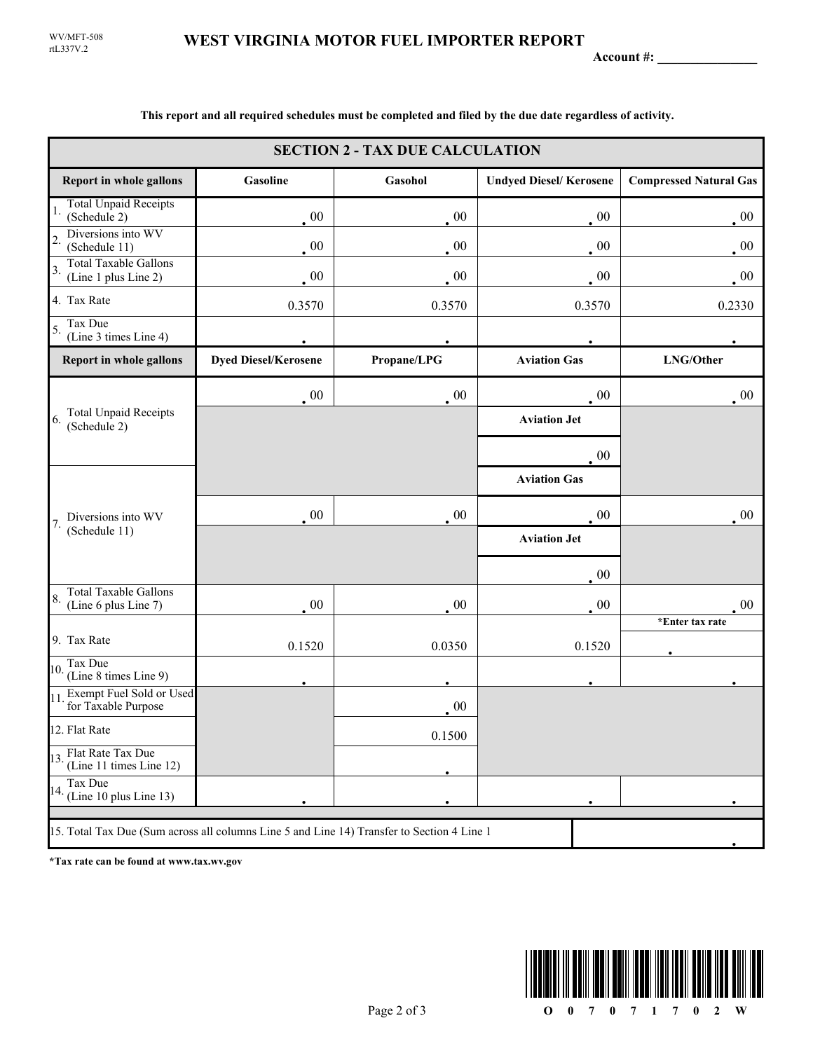**Account #: \_\_\_\_\_\_\_\_\_\_\_\_\_\_\_**

| <b>SECTION 2 - TAX DUE CALCULATION</b>                                                     |                                                                                             |             |                               |                               |  |
|--------------------------------------------------------------------------------------------|---------------------------------------------------------------------------------------------|-------------|-------------------------------|-------------------------------|--|
| <b>Report in whole gallons</b>                                                             | Gasoline                                                                                    | Gasohol     | <b>Undyed Diesel/Kerosene</b> | <b>Compressed Natural Gas</b> |  |
| <b>Total Unpaid Receipts</b><br>1.<br>(Schedule 2)                                         | $00\,$                                                                                      | $00\,$      | $\cdot$ 00                    | $00\,$                        |  |
| Diversions into WV<br>$\overline{2}$<br>(Schedule 11)                                      | 00                                                                                          | $00\,$      | $00\,$                        | $00\,$                        |  |
| <b>Total Taxable Gallons</b><br>3.<br>(Line 1 plus Line 2)                                 | 00                                                                                          | 00          | 00                            | $\cdot$ 00                    |  |
| 4. Tax Rate                                                                                | 0.3570                                                                                      | 0.3570      | 0.3570                        | 0.2330                        |  |
| Tax Due<br>5.<br>(Line 3 times Line 4)                                                     |                                                                                             |             |                               |                               |  |
| Report in whole gallons                                                                    | <b>Dyed Diesel/Kerosene</b>                                                                 | Propane/LPG | <b>Aviation Gas</b>           | LNG/Other                     |  |
| <b>Total Unpaid Receipts</b><br>6.<br>(Schedule 2)                                         | $\sim 00$                                                                                   | 00          | $00\,$                        | $\cdot$ 00                    |  |
|                                                                                            |                                                                                             |             | <b>Aviation Jet</b>           |                               |  |
|                                                                                            |                                                                                             |             | 00                            |                               |  |
|                                                                                            |                                                                                             |             | <b>Aviation Gas</b>           |                               |  |
| Diversions into WV<br>7.                                                                   | 00                                                                                          | 00          | $00\,$                        | $00\,$                        |  |
| (Schedule 11)                                                                              | <b>Aviation Jet</b><br>$00\,$<br>00<br>$00\,$<br>$00\,$<br>0.0350<br>0.1520<br>0.1520<br>00 |             |                               |                               |  |
|                                                                                            |                                                                                             |             |                               |                               |  |
| <b>Total Taxable Gallons</b><br>8.<br>(Line 6 plus Line 7)                                 |                                                                                             |             |                               | 00                            |  |
| 9. Tax Rate                                                                                |                                                                                             |             |                               | *Enter tax rate               |  |
| Tax Due                                                                                    |                                                                                             |             |                               |                               |  |
| 10.<br>(Line 8 times Line 9)                                                               |                                                                                             |             |                               |                               |  |
| Exempt Fuel Sold or Used<br>11<br>for Taxable Purpose                                      |                                                                                             |             |                               |                               |  |
| 12. Flat Rate                                                                              |                                                                                             | 0.1500      |                               |                               |  |
| 13. Flat Rate Tax Due<br>(Line 11 times Line 12)                                           |                                                                                             |             |                               |                               |  |
| Tax Due<br>$14.$ (Line 10 plus Line 13)                                                    |                                                                                             |             |                               |                               |  |
| 15. Total Tax Due (Sum across all columns Line 5 and Line 14) Transfer to Section 4 Line 1 |                                                                                             |             |                               |                               |  |

**This report and all required schedules must be completed and filed by the due date regardless of activity.**

**\*Tax rate can be found at www.tax.wv.gov**